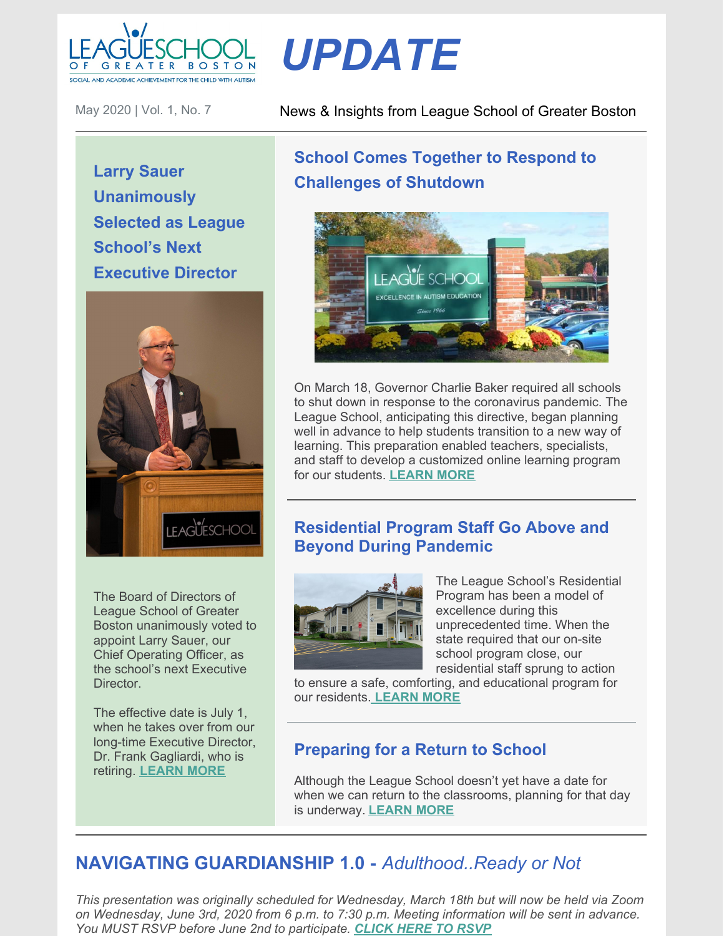

#### May 2020 | Vol. 1, No. 7

**Larry Sauer Unanimously Selected as League School's Next Executive Director**



The Board of Directors of League School of Greater Boston unanimously voted to appoint Larry Sauer, our Chief Operating Officer, as the school's next Executive Director.

The effective date is July 1, when he takes over from our long-time Executive Director, Dr. Frank Gagliardi, who is retiring. **[LEARN](https://leagueschool.org/the-league-school-of-greater-boston-selects-lawrence-sauer-as-next-executive-director/) MORE**

#### News & Insights from League School of Greater Boston

# **School Comes Together to Respond to Challenges of Shutdown**

*UPDATE*



On March 18, Governor Charlie Baker required all schools to shut down in response to the coronavirus pandemic. The League School, anticipating this directive, began planning well in advance to help students transition to a new way of learning. This preparation enabled teachers, specialists, and staff to develop a customized online learning program for our students. **[LEARN](https://leagueschool.org/school-comes-together-to-respond-to-challenges-of-shutdown/) MORE**

### **Residential Program Staff Go Above and Beyond During Pandemic**



The League School's Residential Program has been a model of excellence during this unprecedented time. When the state required that our on-site school program close, our residential staff sprung to action

to ensure a safe, comforting, and educational program for our residents. **[LEARN](https://leagueschool.org/residential-program-staff-go-above-and-beyond-during-pandemic/) MORE**

### **Preparing for a Return to School**

Although the League School doesn't yet have a date for when we can return to the classrooms, planning for that day is underway. **[LEARN](https://leagueschool.org/preparing-for-a-return-to-school/) MORE**

## **NAVIGATING GUARDIANSHIP 1.0 -** *Adulthood..Ready or Not*

*This presentation was originally scheduled for Wednesday, March 18th but will now be held via Zoom on Wednesday, June 3rd, 2020 from 6 p.m. to 7:30 p.m. Meeting information will be sent in advance. You MUST RSVP before June 2nd to participate. [CLICK](mailto:mmelanson@leagueschool.com) HERE TO RSVP*